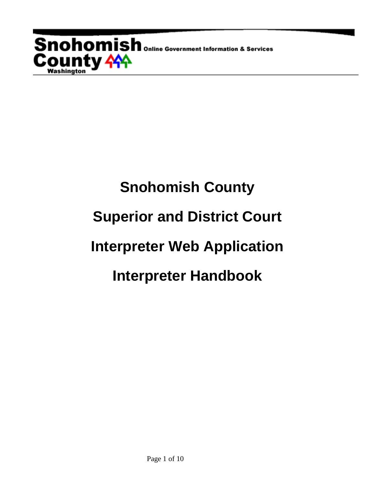**Snohomish** online Government Information & Services **County <del>11</del>**<br>Washington

# **Snohomish County Superior and District Court Interpreter Web Application Interpreter Handbook**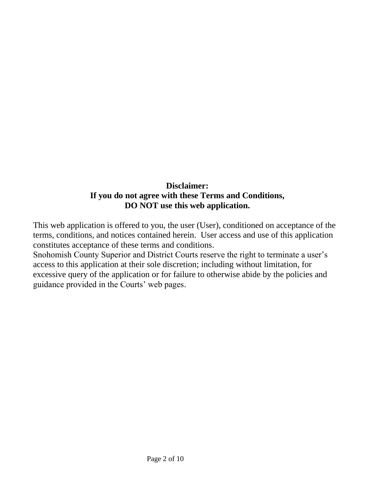### **Disclaimer: If you do not agree with these Terms and Conditions, DO NOT use this web application.**

This web application is offered to you, the user (User), conditioned on acceptance of the terms, conditions, and notices contained herein. User access and use of this application constitutes acceptance of these terms and conditions.

Snohomish County Superior and District Courts reserve the right to terminate a user's access to this application at their sole discretion; including without limitation, for excessive query of the application or for failure to otherwise abide by the policies and guidance provided in the Courts' web pages.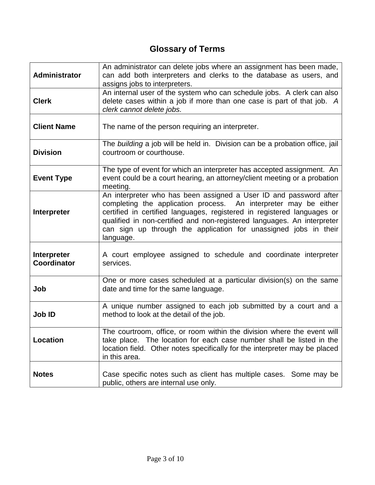## **Glossary of Terms**

| Administrator                     | An administrator can delete jobs where an assignment has been made,<br>can add both interpreters and clerks to the database as users, and<br>assigns jobs to interpreters.                                                                                                                                                                                                   |
|-----------------------------------|------------------------------------------------------------------------------------------------------------------------------------------------------------------------------------------------------------------------------------------------------------------------------------------------------------------------------------------------------------------------------|
| <b>Clerk</b>                      | An internal user of the system who can schedule jobs. A clerk can also<br>delete cases within a job if more than one case is part of that job. A<br>clerk cannot delete jobs.                                                                                                                                                                                                |
| <b>Client Name</b>                | The name of the person requiring an interpreter.                                                                                                                                                                                                                                                                                                                             |
| <b>Division</b>                   | The building a job will be held in. Division can be a probation office, jail<br>courtroom or courthouse.                                                                                                                                                                                                                                                                     |
| <b>Event Type</b>                 | The type of event for which an interpreter has accepted assignment. An<br>event could be a court hearing, an attorney/client meeting or a probation<br>meeting.                                                                                                                                                                                                              |
| Interpreter                       | An interpreter who has been assigned a User ID and password after<br>completing the application process. An interpreter may be either<br>certified in certified languages, registered in registered languages or<br>qualified in non-certified and non-registered languages. An interpreter<br>can sign up through the application for unassigned jobs in their<br>language. |
| Interpreter<br><b>Coordinator</b> | A court employee assigned to schedule and coordinate interpreter<br>services.                                                                                                                                                                                                                                                                                                |
| Job                               | One or more cases scheduled at a particular division(s) on the same<br>date and time for the same language.                                                                                                                                                                                                                                                                  |
| Job ID                            | A unique number assigned to each job submitted by a court and a<br>method to look at the detail of the job.                                                                                                                                                                                                                                                                  |
| Location                          | The courtroom, office, or room within the division where the event will<br>take place. The location for each case number shall be listed in the<br>location field. Other notes specifically for the interpreter may be placed<br>in this area.                                                                                                                               |
| <b>Notes</b>                      | Case specific notes such as client has multiple cases. Some may be<br>public, others are internal use only.                                                                                                                                                                                                                                                                  |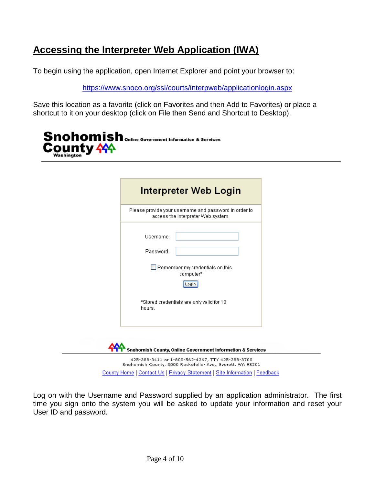## **Accessing the Interpreter Web Application (IWA)**

To begin using the application, open Internet Explorer and point your browser to:

[https://www.snoco.org/ssl/courts/interpweb/applicationlogin.aspx](https://www.snoco.org/IWA/ApplicationLogin.aspx)

Save this location as a favorite (click on Favorites and then Add to Favorites) or place a shortcut to it on your desktop (click on File then Send and Shortcut to Desktop).



| Please provide your username and password in order to<br>access the Interpreter Web system. |  |
|---------------------------------------------------------------------------------------------|--|
| Username:<br>Password:<br>Remember my credentials on this<br>computer*<br>Login             |  |
| *Stored credentials are only valid for 10<br>hours.                                         |  |

County Home | Contact Us | Privacy Statement | Site Information | Feedback

Log on with the Username and Password supplied by an application administrator. The first time you sign onto the system you will be asked to update your information and reset your User ID and password.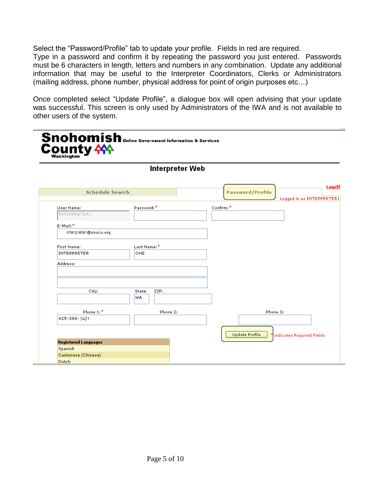Select the "Password/Profile" tab to update your profile. Fields in red are required. Type in a password and confirm it by repeating the password you just entered. Passwords must be 6 characters in length, letters and numbers in any combination. Update any additional information that may be useful to the Interpreter Coordinators, Clerks or Administrators (mailing address, phone number, physical address for point of origin purposes etc…)

Once completed select "Update Profile", a dialogue box will open advising that your update was successful. This screen is only used by Administrators of the IWA and is not available to other users of the system.

|                             | Interpreter Web |                                                                |
|-----------------------------|-----------------|----------------------------------------------------------------|
| <b>Schedule Search</b>      |                 | Logoff<br><b>Password/Profile</b><br>Logged in as INTERPRETER1 |
| User Name:                  | Password:*      | Confirm:*                                                      |
| INTERPRETER1                |                 |                                                                |
| E-Mail:*                    |                 |                                                                |
| interpreter@snoco.org       |                 |                                                                |
| First Name:                 | Last Name:*     |                                                                |
| <b>INTERPRETER</b>          | ONE             |                                                                |
|                             |                 |                                                                |
| Address:                    |                 |                                                                |
|                             |                 |                                                                |
| City:                       | ZIP:<br>State:  |                                                                |
|                             | WA              |                                                                |
|                             |                 |                                                                |
| Phone 1:*                   | Phone 2:        | Phone 3:                                                       |
| 425-388-3421                |                 |                                                                |
|                             |                 |                                                                |
|                             |                 | <b>Update Profile</b><br>indicates Requried Fields             |
| <b>Registered Languages</b> |                 |                                                                |
| Spanish                     |                 |                                                                |
| Cantonese (Chinese)         |                 |                                                                |
|                             |                 |                                                                |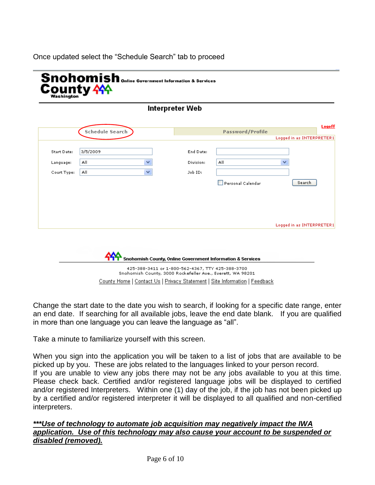#### Once updated select the "Schedule Search" tab to proceed



| Interpreter Web |  |  |  |
|-----------------|--|--|--|
|-----------------|--|--|--|

| <b>Start Date:</b> | 3/5/2009 |   | End Date: |                   |                           |
|--------------------|----------|---|-----------|-------------------|---------------------------|
| Language:          | All      | v | Division: | All               | v                         |
| Court Type:        | All      | × | Job ID:   |                   |                           |
|                    |          |   |           | Personal Calendar | Search                    |
|                    |          |   |           |                   |                           |
|                    |          |   |           |                   |                           |
|                    |          |   |           |                   |                           |
|                    |          |   |           |                   | Logged in as INTERPRETER1 |
|                    |          |   |           |                   |                           |

County Home | Contact Us | Privacy Statement | Site Information | Feedback

Change the start date to the date you wish to search, if looking for a specific date range, enter an end date. If searching for all available jobs, leave the end date blank. If you are qualified in more than one language you can leave the language as "all".

Take a minute to familiarize yourself with this screen.

When you sign into the application you will be taken to a list of jobs that are available to be picked up by you. These are jobs related to the languages linked to your person record. If you are unable to view any jobs there may not be any jobs available to you at this time. Please check back. Certified and/or registered language jobs will be displayed to certified and/or registered Interpreters. Within one (1) day of the job, if the job has not been picked up by a certified and/or registered interpreter it will be displayed to all qualified and non-certified interpreters.

#### *\*\*\*Use of technology to automate job acquisition may negatively impact the IWA application. Use of this technology may also cause your account to be suspended or disabled (removed).*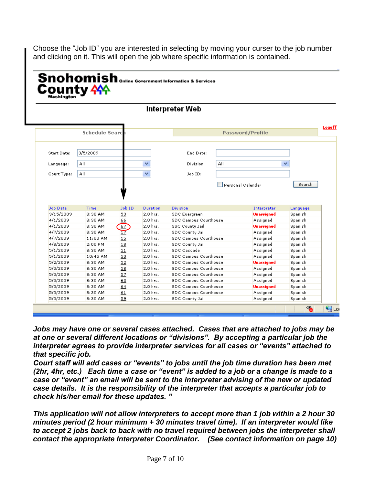Choose the "Job ID" you are interested in selecting by moving your curser to the job number and clicking on it. This will open the job where specific information is contained.

|                      |                       |          |            | Interpreter Web                                 |     |                         |          |
|----------------------|-----------------------|----------|------------|-------------------------------------------------|-----|-------------------------|----------|
|                      | <b>Schedule Searc</b> |          |            |                                                 |     | <b>Password/Profile</b> |          |
|                      |                       |          |            |                                                 |     |                         |          |
| <b>Start Date:</b>   | 3/5/2009              |          |            | End Date:                                       |     |                         |          |
| Language:            | All                   |          | v          | Division:                                       | All |                         | v        |
|                      |                       |          | v          |                                                 |     |                         |          |
| Court Type:          | All                   |          |            | Job ID:                                         |     |                         |          |
| <b>Job Date</b>      | Time                  | Job ID   | Duration   | <b>Division</b>                                 |     | Interpreter             | Language |
| 3/15/2009            | 8:30 AM               | 53       | 2.0 hrs.   | <b>SDC Evergreen</b>                            |     | <b>Unassigned</b>       | Spanish  |
| 4/1/2009             | 8:30 AM               | 66       | 2.0 hrs.   | <b>SDC Campus Courthouse</b>                    |     | Assigned                | Spanish  |
| 4/1/2009             | 8:30 AM               | 67       | 2.0 hrs.   | <b>SSC County Jail</b>                          |     | Unassigned              | Spanish  |
|                      | 8:30 AM               | 17       | 2.0 hrs.   | <b>SDC County Jail</b>                          |     | Assigned                | Spanish  |
| 4/7/2009             |                       | 15       | $2.0$ hrs. | <b>SDC Campus Courthouse</b>                    |     | Assigned                | Spanish  |
| 4/7/2009             | 11:00 AM              |          |            | <b>SDC County Jail</b>                          |     | Assigned                | Spanish  |
| 4/8/2009             | 2:00 PM               | 18       | 3.0 hrs.   |                                                 |     |                         |          |
| 5/1/2009             | 8:30 AM               | 51       | 2.0 hrs.   | <b>SDC Cascade</b>                              |     | Assigned                | Spanish  |
| 5/1/2009             | 10:45 AM              | 50       | 2.0 hrs.   | SDC Campus Courthouse                           |     | Assigned                | Spanish  |
| 5/2/2009             | 8:30 AM               | 52       | 2.0 hrs.   | <b>SDC Campus Courthouse</b>                    |     | Unassigned              | Spanish  |
| 5/3/2009             | 8:30 AM               | 58       | 2.0 hrs.   | <b>SDC Campus Courthouse</b>                    |     | Assigned                | Spanish  |
| 5/3/2009             | 8:30 AM               | 57       | 2.0 hrs.   | SDC Campus Courthouse                           |     | Assigned                | Spanish  |
| 5/3/2009             | 8:30 AM               | 63       | 2.0 hrs.   | SDC Campus Courthouse                           |     | Assigned                | Spanish  |
| 5/3/2009             | 8:30 AM               | 64       | 2.0 hrs.   | SDC Campus Courthouse                           |     | <b>Unassigned</b>       | Spanish  |
| 5/3/2009<br>5/3/2009 | 8:30 AM               | 61<br>59 | 2.0 hrs.   | SDC Campus Courthouse<br><b>SDC County Jail</b> |     | Assigned                | Spanish  |

*Jobs may have one or several cases attached. Cases that are attached to jobs may be at one or several different locations or "divisions". By accepting a particular job the interpreter agrees to provide interpreter services for all cases or "events" attached to that specific job.* 

*Court staff will add cases or "events" to jobs until the job time duration has been met (2hr, 4hr, etc.) Each time a case or "event" is added to a job or a change is made to a case or "event" an email will be sent to the interpreter advising of the new or updated case details. It is the responsibility of the interpreter that accepts a particular job to check his/her email for these updates. "* 

*This application will not allow interpreters to accept more than 1 job within a 2 hour 30 minutes period (2 hour minimum + 30 minutes travel time). If an interpreter would like to accept 2 jobs back to back with no travel required between jobs the interpreter shall contact the appropriate Interpreter Coordinator. (See contact information on page 10)*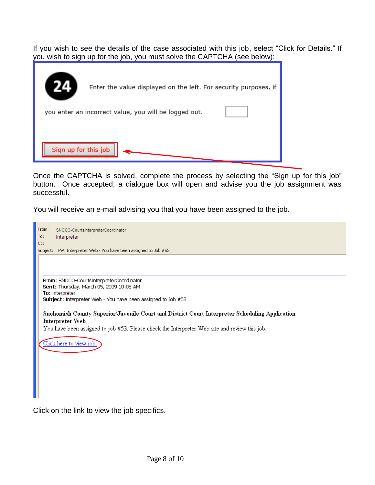If you wish to see the details of the case associated with this job, select "Click for Details." If you wish to sign up for the job, you must solve the CAPTCHA (see below):

|                      | Enter the value displayed on the left. For security purposes, if |
|----------------------|------------------------------------------------------------------|
|                      | you enter an incorrect value, you will be logged out.            |
|                      |                                                                  |
| Sign up for this job |                                                                  |

Once the CAPTCHA is solved, complete the process by selecting the "Sign up for this job" button. Once accepted, a dialogue box will open and advise you the job assignment was successful.

You will receive an e-mail advising you that you have been assigned to the job.

| From:<br>SNOCO-CourtsInterpreterCoordinator                                                    |
|------------------------------------------------------------------------------------------------|
| To:<br>Interpreter                                                                             |
| Cc:<br>Subject: FW: Interpreter Web - You have been assigned to Job #53                        |
|                                                                                                |
|                                                                                                |
|                                                                                                |
| From: SNOCO-CourtsInterpreterCoordinator                                                       |
| Sent: Thursday, March 05, 2009 10:05 AM                                                        |
| To: Interpreter<br>Subject: Interpreter Web - You have been assigned to Job #53                |
|                                                                                                |
| Snohomish County Superior/Juvenile Court and District Court Interpreter Scheduling Application |
| Interpreter Web                                                                                |
| You have been assigned to job #53. Please check the Interpreter Web site and review this job.  |
| Click here to view job.                                                                        |
|                                                                                                |
|                                                                                                |
|                                                                                                |
|                                                                                                |
|                                                                                                |
|                                                                                                |
|                                                                                                |

Click on the link to view the job specifics.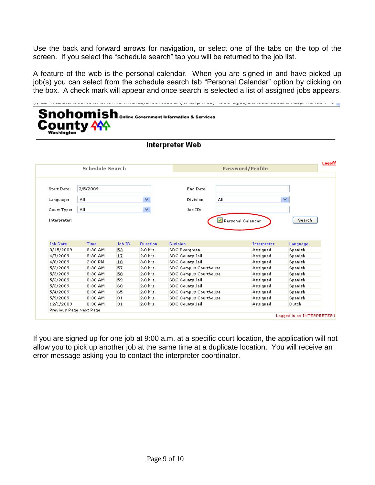Use the back and forward arrows for navigation, or select one of the tabs on the top of the screen. If you select the "schedule search" tab you will be returned to the job list.

A feature of the web is the personal calendar. When you are signed in and have picked up job(s) you can select from the schedule search tab "Personal Calendar" option by clicking on the box. A check mark will appear and once search is selected a list of assigned jobs appears.

| Washington      | <b>County 444</b>      |        |          | <b>Snohomish</b> online Government Information & Services |                   |                         |          |        |
|-----------------|------------------------|--------|----------|-----------------------------------------------------------|-------------------|-------------------------|----------|--------|
|                 |                        |        |          | Interpreter Web                                           |                   |                         |          |        |
|                 | <b>Schedule Search</b> |        |          |                                                           |                   | <b>Password/Profile</b> |          | Logoff |
|                 |                        |        |          |                                                           |                   |                         |          |        |
| Start Date:     | 3/5/2009               |        |          | End Date:                                                 |                   |                         |          |        |
| Language:       | All                    |        | v        | Division:                                                 | All               |                         | v        |        |
| Court Type:     | All                    |        | v        | Job ID:                                                   |                   |                         |          |        |
| Interpreter:    |                        |        |          |                                                           | Personal Calendar |                         | Search   |        |
|                 |                        |        |          |                                                           |                   |                         |          |        |
| <b>Job Date</b> | Time                   | Job ID | Duration | <b>Division</b>                                           |                   | Interpreter             | Language |        |
| 3/15/2009       | 8:30 AM                | 53     | 2.0 hrs. | <b>SDC Evergreen</b>                                      |                   | Assigned                | Spanish  |        |
| 4/7/2009        | 8:30 AM                | 17     | 2.0 hrs. | <b>SDC County Jail</b>                                    |                   | Assigned                | Spanish  |        |
| 4/8/2009        | 2:00 PM                | 18     | 3.0 hrs. | <b>SDC County Jail</b>                                    |                   | Assigned                | Spanish  |        |
| 5/3/2009        | 8:30 AM                | 57     | 2.0 hrs. | SDC Campus Courthouse                                     |                   | Assigned                | Spanish  |        |
| 5/3/2009        | 8:30 AM                | 58     | 2.0 hrs. | <b>SDC Campus Courthouse</b>                              |                   | Assigned                | Spanish  |        |
| 5/3/2009        | 8:30 AM                | 59     | 2.0 hrs. | <b>SDC County Jail</b>                                    |                   | Assigned                | Spanish  |        |
| 5/3/2009        | 8:30 AM                | 60     | 2.0 hrs. | <b>SDC County Jail</b>                                    |                   | Assigned                | Spanish  |        |
| 5/4/2009        | 8:30 AM                | 65     | 2.0 hrs. | SDC Campus Courthouse                                     |                   | Assigned                | Spanish  |        |
| 5/9/2009        | 8:30 AM                | 81     | 2.0 hrs. | <b>SDC Campus Courthouse</b>                              |                   | Assigned                | Spanish  |        |

If you are signed up for one job at 9:00 a.m. at a specific court location, the application will not allow you to pick up another job at the same time at a duplicate location. You will receive an error message asking you to contact the interpreter coordinator.